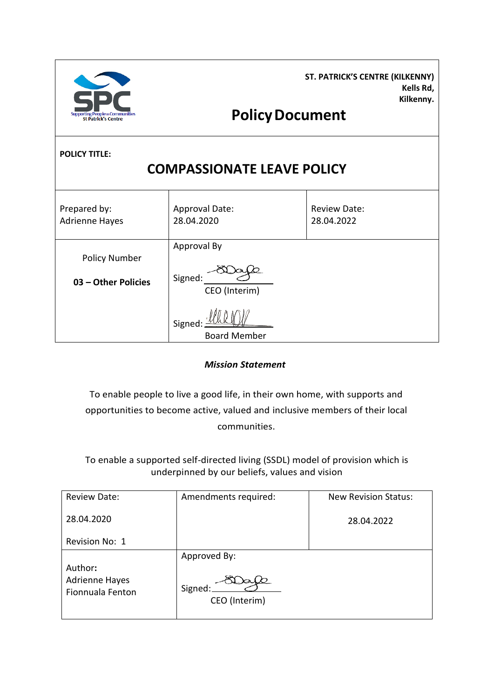| <b>ST. PATRICK'S CENTRE (KILKENNY)</b> |
|----------------------------------------|
| Kells Rd.                              |
| Kilkenny.                              |

# **PolicyDocument**

**POLICY TITLE:** 

Centro

## **COMPASSIONATE LEAVE POLICY**

| Prepared by:<br><b>Adrienne Hayes</b>       | <b>Approval Date:</b><br>28.04.2020     | <b>Review Date:</b><br>28.04.2022 |
|---------------------------------------------|-----------------------------------------|-----------------------------------|
| <b>Policy Number</b><br>03 - Other Policies | Approval By<br>Signed:<br>CEO (Interim) |                                   |
|                                             | Signed:<br><b>Board Member</b>          |                                   |

*Mission Statement*

To enable people to live a good life, in their own home, with supports and opportunities to become active, valued and inclusive members of their local communities.

To enable a supported self-directed living (SSDL) model of provision which is underpinned by our beliefs, values and vision

| <b>Review Date:</b>                                  | Amendments required:                     | <b>New Revision Status:</b> |
|------------------------------------------------------|------------------------------------------|-----------------------------|
| 28.04.2020                                           |                                          | 28.04.2022                  |
| Revision No: 1                                       |                                          |                             |
| Author:<br><b>Adrienne Hayes</b><br>Fionnuala Fenton | Approved By:<br>Signed:<br>CEO (Interim) |                             |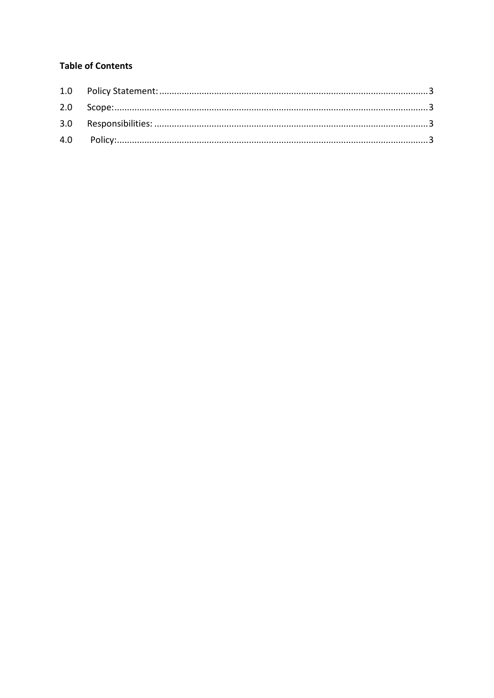### **Table of Contents**